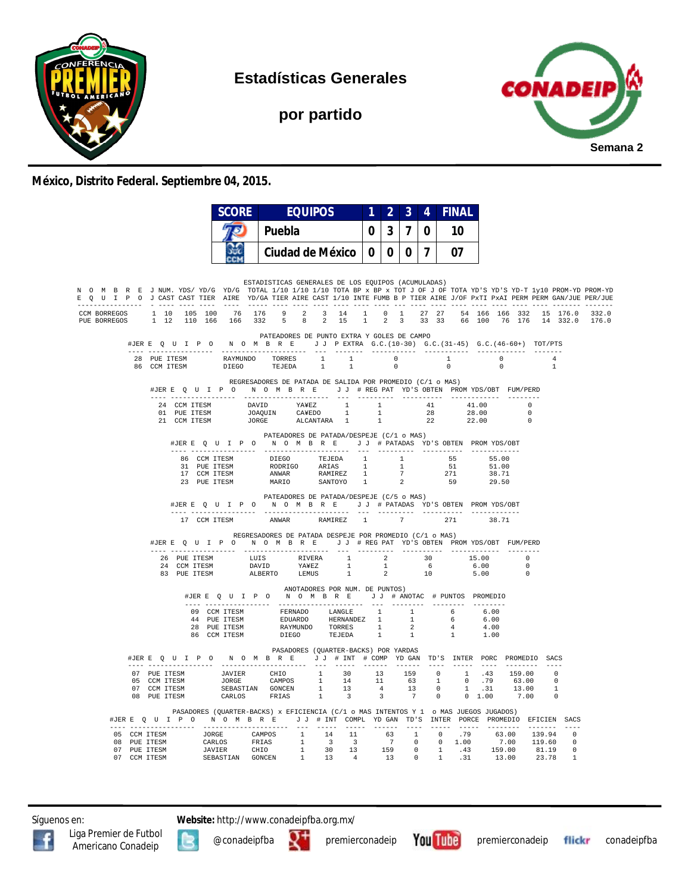

**Estadísticas Generales**

**por partido**



#### **México, Distrito Federal. Septiembre 04, 2015.**

|                                                                                                                                                                                                                                                        |                                                              |                       | <b>SCORE</b>                                                                                                                                                                                                                                                                                      |                                                                                  | <b>EQUIPOS</b> |                                | 1        | $\mathbf{2}^{\circ}$ | $\overline{3}$ | $\overline{4}$ | <b>FINAL</b> |                              |  |                |                                                                                 |
|--------------------------------------------------------------------------------------------------------------------------------------------------------------------------------------------------------------------------------------------------------|--------------------------------------------------------------|-----------------------|---------------------------------------------------------------------------------------------------------------------------------------------------------------------------------------------------------------------------------------------------------------------------------------------------|----------------------------------------------------------------------------------|----------------|--------------------------------|----------|----------------------|----------------|----------------|--------------|------------------------------|--|----------------|---------------------------------------------------------------------------------|
|                                                                                                                                                                                                                                                        |                                                              |                       |                                                                                                                                                                                                                                                                                                   | Puebla                                                                           |                |                                | $\bf{0}$ | 3 <sup>1</sup>       | $\overline{7}$ | $\bf{0}$       | 10           |                              |  |                |                                                                                 |
|                                                                                                                                                                                                                                                        |                                                              |                       | œ                                                                                                                                                                                                                                                                                                 | Ciudad de México   0                                                             |                |                                |          |                      |                | 0 0 7          | 07           |                              |  |                |                                                                                 |
| N O M B R E J NUM. YDS/YD/G YD/G TOTAL 1/10 1/10 1/10 TOTA BP x BP x TOT J OF J OF TOTA YD'S YD-T 1y10 PROM-YD PROM-YD<br>E O U I P O J CAST CAST TIER AIRE YD/GA TIER AIRE CAST 1/10 INTE FUMB B P TIER AIRE J/OF PXTI PXAI PERM PERM GAN/JUE PER/JUE |                                                              |                       |                                                                                                                                                                                                                                                                                                   | ESTADISTICAS GENERALES DE LOS EQUIPOS (ACUMULADAS)                               |                |                                |          |                      |                |                |              |                              |  |                |                                                                                 |
| CCM BORREGOS 1 10 105 100 76 176 9 2 3 14 1 0 1 27 27 54 166 166 332 15 176.0<br>PUE BORREGOS                                                                                                                                                          |                                                              |                       |                                                                                                                                                                                                                                                                                                   |                                                                                  |                |                                |          |                      |                |                |              |                              |  |                | 332.0<br>1 12 110 166 166 332 5 8 2 15 1 2 3 33 33 66 100 76 176 14 332.0 176.0 |
|                                                                                                                                                                                                                                                        |                                                              |                       | #JERE Q U I P O N O M B R E J J PEXTRA G.C. (10-30) G.C. (31-45) G.C. (46-60+) TOT/PTS                                                                                                                                                                                                            | PATEADORES DE PUNTO EXTRA Y GOLES DE CAMPO                                       |                |                                |          |                      |                |                |              |                              |  |                |                                                                                 |
|                                                                                                                                                                                                                                                        | 86 CCM TTESM                                                 | 28 PUE ITESM          | $\begin{tabular}{lcccccc} RAYMUNDO & TORRES & & 1 & & 1 & & 0 & & 1 & & 0 \\ & & TESTEDA & & 1 & & 1 & & 0 & & 0 & & 0 \\ \end{tabular}$                                                                                                                                                          |                                                                                  |                |                                |          |                      |                |                |              |                              |  | $\overline{1}$ |                                                                                 |
|                                                                                                                                                                                                                                                        |                                                              |                       | #JERE Q U I P O N O M B R E J J # REG PAT YD'S OBTEN PROMYDS/OBT FUM/PERD                                                                                                                                                                                                                         | REGRESADORES DE PATADA DE SALIDA POR PROMEDIO (C/1 o MAS)                        |                |                                |          |                      |                |                |              |                              |  |                |                                                                                 |
|                                                                                                                                                                                                                                                        |                                                              |                       | $\begin{tabular}{cccccccc} 24 & COM TTESM & DAVID & YAYEZ & 1 & 1 & 41 & 41.00 & 0 \\ 01 & PUE TTESM & JOAQUIN & CAYEDO & 1 & 1 & 28 & 28.00 & 0 \\ 21 & COM TTESM & JORGE & ALCANTARA & 1 & 1 & 22 & 22.00 & 0 \\ \end{tabular}$                                                                 |                                                                                  |                |                                |          |                      |                |                |              |                              |  |                |                                                                                 |
|                                                                                                                                                                                                                                                        |                                                              |                       | #JERE QUIPO NOMBRE JJ #PATADAS YD'S OBTEN PROMYDS/OBT                                                                                                                                                                                                                                             | PATEADORES DE PATADA/DESPEJE (C/1 o MAS)                                         |                |                                |          |                      |                |                |              |                              |  |                |                                                                                 |
|                                                                                                                                                                                                                                                        |                                                              |                       |                                                                                                                                                                                                                                                                                                   |                                                                                  |                |                                |          |                      |                |                |              |                              |  |                |                                                                                 |
|                                                                                                                                                                                                                                                        |                                                              |                       | #JERE Q U I P O N O M B R E J J # PATADAS YD'S OBTEN PROMYDS/OBT                                                                                                                                                                                                                                  | PATEADORES DE PATADA/DESPEJE (C/5 o MAS)                                         |                |                                |          |                      |                |                |              |                              |  |                |                                                                                 |
|                                                                                                                                                                                                                                                        |                                                              |                       | 17 CCM ITESM                                                                                                                                                                                                                                                                                      | ANWAR RAMIREZ 1 7 271<br>REGRESADORES DE PATADA DESPEJE POR PROMEDIO (C/1 o MAS) |                |                                |          |                      |                |                |              | 38.71                        |  |                |                                                                                 |
|                                                                                                                                                                                                                                                        |                                                              | --- ----------------- | #JERE QUIPON OMBRE JJ #REGPAT YD'S OBTEN PROMYDS/OBT FUM/PERD                                                                                                                                                                                                                                     | ---------------------                                                            |                |                                |          |                      |                |                |              |                              |  |                |                                                                                 |
|                                                                                                                                                                                                                                                        |                                                              |                       |                                                                                                                                                                                                                                                                                                   |                                                                                  |                |                                |          |                      |                |                |              |                              |  |                |                                                                                 |
|                                                                                                                                                                                                                                                        |                                                              |                       | #JERE Q U I P O N O M B R E J J # ANOTAC # PUNTOS PROMEDIO                                                                                                                                                                                                                                        |                                                                                  |                | ANOTADORES POR NUM. DE PUNTOS) |          |                      |                |                |              |                              |  |                |                                                                                 |
|                                                                                                                                                                                                                                                        |                                                              |                       |                                                                                                                                                                                                                                                                                                   |                                                                                  |                |                                |          |                      |                |                |              | 6.00<br>6.00<br>4.00<br>1.00 |  |                |                                                                                 |
|                                                                                                                                                                                                                                                        |                                                              |                       | #JER E Q U I P O N O M B R E J J # INT # COMP YD GAN TD'S INTER PORC PROMEDIO SACS                                                                                                                                                                                                                | PASADORES (OUARTER-BACKS) POR YARDAS                                             |                |                                |          |                      |                |                |              |                              |  |                |                                                                                 |
|                                                                                                                                                                                                                                                        | 07 PUE ITESM<br>05 CCM ITESM<br>07 CCM ITESM<br>08 PUE ITESM |                       | $\begin{tabular}{cccccccc} JAVIER & CHIO & 1 & 30 & 13 & 159 & 0 & 1 & .43 & 159.00 & 0 \\ JOREB & CAMPOS & 1 & 14 & 11 & 63 & 1 & 0 & .79 & 63.00 & 0 \\ SEBASTIAN GONCEN & 1 & 13 & 4 & 13 & 0 & .13 & 13.00 & 1 \\ CARCHOS & FRIAS & 1 & 3 & 3 & 7 & 0 & 0 & 1.00 & 7.00 & 0 \\ \end{tabular}$ |                                                                                  |                |                                |          |                      |                |                |              |                              |  |                |                                                                                 |
|                                                                                                                                                                                                                                                        |                                                              |                       | PASADORES (QUARTER-BACKS) x EFICIENCIA (C/1 o MAS INTENTOS Y 1 o MAS JUEGOS JUGADOS)<br>#JERE Q U I P O N O M B R E J J # INT COMPL YDGAN TD'S INTER PORCE PROMEDIO EFICIEN SACS                                                                                                                  |                                                                                  |                |                                |          |                      |                |                |              |                              |  |                |                                                                                 |
|                                                                                                                                                                                                                                                        |                                                              |                       |                                                                                                                                                                                                                                                                                                   |                                                                                  |                |                                |          |                      |                |                |              |                              |  |                |                                                                                 |
|                                                                                                                                                                                                                                                        |                                                              |                       |                                                                                                                                                                                                                                                                                                   |                                                                                  |                |                                |          |                      |                |                |              |                              |  |                |                                                                                 |

Síguenos en: **Website:** http://www.conadeipfba.org.mx/



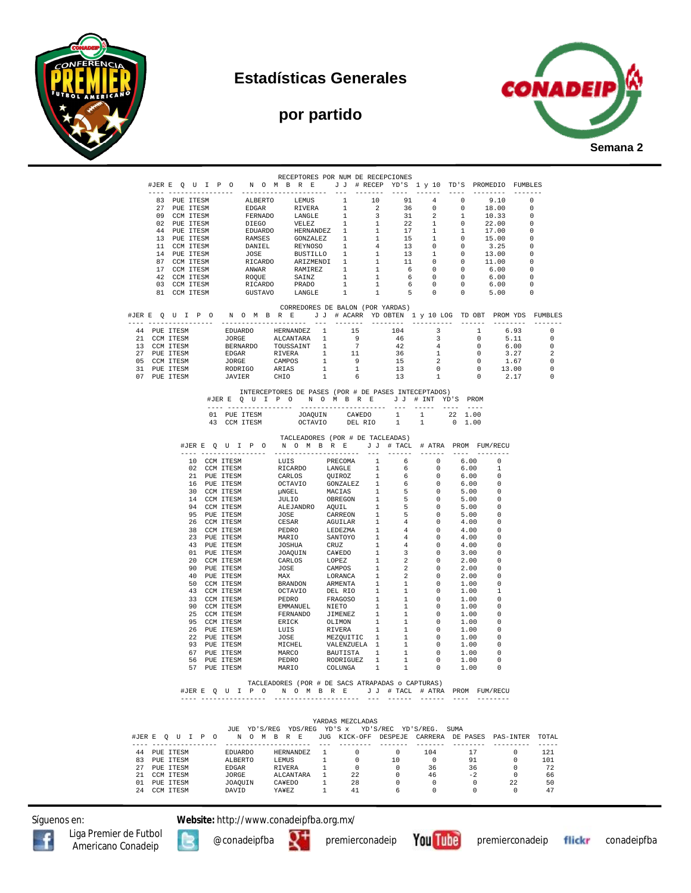

## **Estadísticas Generales**

### **por partido**



|  |                              | #JERE QUIPO NOMBRE JJ #RECEPYD'S 1 y 10 TD'S PROMEDIO FUMBLES                                                                                                                                                                           | RECEPTORES POR NUM DE RECEPCIONES                                                                                                                                                                                                                    |                |                                                                |   |                                         |                                                                                                  |                                            |                                                                   |                                                        |
|--|------------------------------|-----------------------------------------------------------------------------------------------------------------------------------------------------------------------------------------------------------------------------------------|------------------------------------------------------------------------------------------------------------------------------------------------------------------------------------------------------------------------------------------------------|----------------|----------------------------------------------------------------|---|-----------------------------------------|--------------------------------------------------------------------------------------------------|--------------------------------------------|-------------------------------------------------------------------|--------------------------------------------------------|
|  |                              |                                                                                                                                                                                                                                         |                                                                                                                                                                                                                                                      |                |                                                                |   |                                         |                                                                                                  |                                            |                                                                   |                                                        |
|  | 83 PUE ITESM                 |                                                                                                                                                                                                                                         |                                                                                                                                                                                                                                                      |                |                                                                |   |                                         | $4^{\degree}$                                                                                    | $\bigcirc$                                 | 9.10                                                              | $\Omega$                                               |
|  | 27 PUE ITESM                 |                                                                                                                                                                                                                                         |                                                                                                                                                                                                                                                      |                |                                                                |   |                                         |                                                                                                  | $\sim$ 0<br>$\mathbf{1}$                   | 18.00<br>10.33                                                    | $\overline{\phantom{0}}$<br>- 0                        |
|  | 09 CCM ITESM<br>02 PUE ITESM |                                                                                                                                                                                                                                         |                                                                                                                                                                                                                                                      |                |                                                                |   |                                         |                                                                                                  | $\overline{0}$                             | 22.00                                                             | $\overline{\phantom{0}}$                               |
|  | 44 PUE ITESM                 |                                                                                                                                                                                                                                         |                                                                                                                                                                                                                                                      |                |                                                                |   |                                         |                                                                                                  |                                            | $1 \t 17.00$                                                      | $\overline{\phantom{0}}$                               |
|  | 13 PUE ITESM                 |                                                                                                                                                                                                                                         |                                                                                                                                                                                                                                                      |                |                                                                |   |                                         |                                                                                                  | $\overline{0}$                             | 15.00                                                             | $\overline{\phantom{0}}$                               |
|  | 11 CCM ITESM                 |                                                                                                                                                                                                                                         |                                                                                                                                                                                                                                                      |                |                                                                |   |                                         |                                                                                                  | $\sim$ 0                                   | 3.25                                                              | - 0                                                    |
|  | 14 PUE ITESM<br>87 CCM ITESM |                                                                                                                                                                                                                                         |                                                                                                                                                                                                                                                      |                |                                                                |   |                                         | $\mathbf{1}$                                                                                     | $\overline{0}$<br>$\overline{\phantom{0}}$ | 13.00<br>11.00                                                    | $\overline{\phantom{0}}$<br>$\overline{\phantom{0}}$   |
|  | 17 CCM ITESM                 |                                                                                                                                                                                                                                         |                                                                                                                                                                                                                                                      |                |                                                                |   |                                         |                                                                                                  | $\sim$ 0                                   | 6.00                                                              | _ი                                                     |
|  | 42 CCM ITESM                 |                                                                                                                                                                                                                                         |                                                                                                                                                                                                                                                      |                |                                                                |   |                                         |                                                                                                  | $\sim$ 0                                   | 6.00                                                              | $\overline{\phantom{0}}$                               |
|  | 03 CCM ITESM                 |                                                                                                                                                                                                                                         |                                                                                                                                                                                                                                                      |                |                                                                |   |                                         | $\begin{array}{ccccccccc} 1 & & 1 & & 6 & & 0 & & 0 \\ 1 & & 1 & & 5 & & 0 & & 0 \\ \end{array}$ |                                            | 6.00                                                              | $\overline{\phantom{0}}$                               |
|  | 81 CCM ITESM                 |                                                                                                                                                                                                                                         |                                                                                                                                                                                                                                                      |                |                                                                |   |                                         |                                                                                                  |                                            | 5.00                                                              | $\overline{\phantom{0}}$                               |
|  |                              |                                                                                                                                                                                                                                         | CORREDORES DE BALON (POR YARDAS)                                                                                                                                                                                                                     |                |                                                                |   |                                         |                                                                                                  |                                            |                                                                   |                                                        |
|  |                              | #JERE QUIPO NOMBRE JJ # ACARR YDOBTEN 1 y 10 LOG TDOBT PROMYDS FUMBLES                                                                                                                                                                  |                                                                                                                                                                                                                                                      |                |                                                                |   |                                         |                                                                                                  |                                            |                                                                   |                                                        |
|  |                              |                                                                                                                                                                                                                                         |                                                                                                                                                                                                                                                      |                |                                                                |   |                                         |                                                                                                  |                                            |                                                                   |                                                        |
|  |                              | THE SERVICE CONTROL OF THE SERVICE CONTROL OF THE SERVICE CONTROL OF A 44 ONE THE SERVICE ALCANTARA 1 9 46 46 13 CCM ITESM BERNARDO TOUSSAINT 1 7 42<br>13 CCM ITESM BERNARDO TOUSSAINT 1 7 42<br>17 DUE TESM BORR RIVERA 1 11 36<br>19 |                                                                                                                                                                                                                                                      |                |                                                                |   |                                         | $\overline{\mathbf{3}}$                                                                          | $\frac{1}{2}$                              | 6.93                                                              | $\sim$ 0                                               |
|  |                              |                                                                                                                                                                                                                                         |                                                                                                                                                                                                                                                      |                |                                                                |   |                                         | $\overline{\mathbf{3}}$                                                                          |                                            | $\overline{0}$<br>5.11                                            | $\overline{0}$                                         |
|  |                              |                                                                                                                                                                                                                                         |                                                                                                                                                                                                                                                      |                |                                                                |   |                                         | 4<br>1                                                                                           | $\overline{0}$<br>$\overline{0}$           | 6.00<br>3.27                                                      | $\overline{\phantom{0}}$<br>$\overline{\phantom{0}}^2$ |
|  |                              |                                                                                                                                                                                                                                         |                                                                                                                                                                                                                                                      |                |                                                                |   |                                         | $\overline{2}$                                                                                   |                                            |                                                                   | $\overline{\phantom{0}}$                               |
|  |                              |                                                                                                                                                                                                                                         |                                                                                                                                                                                                                                                      |                | $\begin{array}{ccc} 1 & & 9 \\ 1 & & 1 \\ 1 & & 6 \end{array}$ |   |                                         |                                                                                                  |                                            |                                                                   | $\overline{0}$                                         |
|  | 07 PUE ITESM                 | RODRIGO ARIAS<br>JAVIER CHIO                                                                                                                                                                                                            |                                                                                                                                                                                                                                                      |                |                                                                |   | $\begin{array}{c} 13 \\ 13 \end{array}$ | $\begin{smallmatrix}0\\1\end{smallmatrix}$                                                       |                                            | $\begin{bmatrix} 0 & 1.67 \\ 0 & 13.00 \\ 0 & 2.17 \end{bmatrix}$ | $\overline{\phantom{0}}$                               |
|  |                              |                                                                                                                                                                                                                                         |                                                                                                                                                                                                                                                      |                |                                                                |   |                                         |                                                                                                  |                                            |                                                                   |                                                        |
|  |                              | #JERE OUIPO NOMBRE JJ # INT YD'S PROM                                                                                                                                                                                                   | INTERCEPTORES DE PASES (POR # DE PASES INTECEPTADOS)                                                                                                                                                                                                 |                |                                                                |   |                                         |                                                                                                  |                                            |                                                                   |                                                        |
|  |                              |                                                                                                                                                                                                                                         |                                                                                                                                                                                                                                                      |                |                                                                |   |                                         |                                                                                                  |                                            |                                                                   |                                                        |
|  |                              | 01 PUE ITESM                                                                                                                                                                                                                            |                                                                                                                                                                                                                                                      |                | JOAOUIN CA¥EDO 1 1                                             |   |                                         |                                                                                                  | 22 1.00                                    |                                                                   |                                                        |
|  |                              | 43 CCM ITESM                                                                                                                                                                                                                            |                                                                                                                                                                                                                                                      |                | OCTAVIO DEL RIO                                                |   | 1                                       | 1                                                                                                | $0 \quad 1.00$                             |                                                                   |                                                        |
|  |                              |                                                                                                                                                                                                                                         |                                                                                                                                                                                                                                                      |                |                                                                |   |                                         |                                                                                                  |                                            |                                                                   |                                                        |
|  |                              | #JERE QUIPO NOMBRE JJ # TACL # ATRA PROM FUM/RECU                                                                                                                                                                                       | TACLEADORES (POR # DE TACLEADAS)                                                                                                                                                                                                                     |                |                                                                |   |                                         |                                                                                                  |                                            |                                                                   |                                                        |
|  |                              |                                                                                                                                                                                                                                         |                                                                                                                                                                                                                                                      |                |                                                                |   |                                         |                                                                                                  |                                            |                                                                   |                                                        |
|  |                              | 10 CCM ITESM LUIS PRECOMA 1 6 0                                                                                                                                                                                                         |                                                                                                                                                                                                                                                      |                |                                                                |   |                                         |                                                                                                  | 6.00                                       | $\overline{0}$                                                    |                                                        |
|  |                              | 02 CCM ITESM                                                                                                                                                                                                                            | RICARDO LANGLE                                                                                                                                                                                                                                       |                |                                                                | 1 | 6                                       | $\overline{0}$                                                                                   | 6.00                                       | $\overline{1}$                                                    |                                                        |
|  |                              | 21 PUE ITESM                                                                                                                                                                                                                            |                                                                                                                                                                                                                                                      |                |                                                                |   |                                         | $\sim$ 0                                                                                         | 6.00                                       | - 0                                                               |                                                        |
|  |                              | 16 PUE ITESM                                                                                                                                                                                                                            |                                                                                                                                                                                                                                                      |                |                                                                |   |                                         | $\overline{0}$                                                                                   | 6.00                                       | 0                                                                 |                                                        |
|  |                              | 30 CCM ITESM                                                                                                                                                                                                                            |                                                                                                                                                                                                                                                      |                |                                                                |   |                                         | $\overline{0}$                                                                                   | 5.00                                       | - 0                                                               |                                                        |
|  |                              | 14 CCM ITESM<br>94 CCM ITESM                                                                                                                                                                                                            |                                                                                                                                                                                                                                                      |                |                                                                |   |                                         | $\overline{\phantom{0}}$<br>$\overline{0}$                                                       | 5.00<br>5.00                               | $\overline{\phantom{0}}$<br>- 0                                   |                                                        |
|  |                              | 95 PUE ITESM                                                                                                                                                                                                                            |                                                                                                                                                                                                                                                      |                |                                                                |   |                                         | $\overline{0}$                                                                                   | 5.00                                       | 0                                                                 |                                                        |
|  |                              | 26 CCM ITESM                                                                                                                                                                                                                            |                                                                                                                                                                                                                                                      |                |                                                                |   |                                         | $\overline{0}$                                                                                   | 4.00                                       | $\overline{\phantom{0}}$                                          |                                                        |
|  |                              | 38 CCM ITESM                                                                                                                                                                                                                            |                                                                                                                                                                                                                                                      |                |                                                                |   |                                         | $\overline{0}$                                                                                   | 4.00                                       | - 0                                                               |                                                        |
|  |                              | 23 PUE ITESM                                                                                                                                                                                                                            |                                                                                                                                                                                                                                                      |                |                                                                |   |                                         | $\overline{\mathbf{0}}$                                                                          | 4.00                                       | 0                                                                 |                                                        |
|  |                              | 43 PUE ITESM                                                                                                                                                                                                                            |                                                                                                                                                                                                                                                      |                |                                                                |   |                                         | $\overline{0}$                                                                                   | 4.00                                       | $\Omega$                                                          |                                                        |
|  |                              | 01 PUE ITESM                                                                                                                                                                                                                            |                                                                                                                                                                                                                                                      |                |                                                                |   |                                         | $\overline{0}$                                                                                   | 3.00                                       | 0                                                                 |                                                        |
|  |                              | 20 CCM ITESM<br>90 PUE ITESM                                                                                                                                                                                                            |                                                                                                                                                                                                                                                      |                |                                                                |   |                                         | $\overline{0}$<br>$\overline{0}$                                                                 | 2.00<br>2.00                               | - 0<br>- 0                                                        |                                                        |
|  |                              | 40 PUE ITESM                                                                                                                                                                                                                            |                                                                                                                                                                                                                                                      |                |                                                                |   |                                         | $\overline{\phantom{0}}$                                                                         | 2.00                                       | $\overline{\phantom{0}}$                                          |                                                        |
|  |                              | 50 CCM ITESM                                                                                                                                                                                                                            |                                                                                                                                                                                                                                                      |                |                                                                |   |                                         | $\overline{\phantom{0}}$                                                                         | 1.00                                       | 0                                                                 |                                                        |
|  |                              | 43 CCM ITESM                                                                                                                                                                                                                            |                                                                                                                                                                                                                                                      |                |                                                                |   |                                         | $\overline{0}$                                                                                   | 1.00                                       | 1                                                                 |                                                        |
|  |                              | 33 CCM ITESM                                                                                                                                                                                                                            |                                                                                                                                                                                                                                                      |                |                                                                |   |                                         | $\overline{0}$                                                                                   | 1.00                                       | 0                                                                 |                                                        |
|  |                              | 90 CCM ITESM                                                                                                                                                                                                                            | LUIS PRECOMA 1 6<br>RICARDO LANGLE 1 6<br>CARLOS QUIROZ 1 6<br>COTAVIO GONZALEZ 1 6<br>INGEL MACTAS 1 5<br>JULIO OBREGON 1 5<br>JULIO OBREGON 1 5<br>JULIO OBREGON 1 5<br>ALEJANDRO AQUIL 1 5<br>CESAR AGUILAR 1 4<br>PEDRO LEDEZMA 1 4<br>MARIO SAN |                |                                                                |   |                                         | $\overline{0}$                                                                                   | 1.00                                       | $\Omega$                                                          |                                                        |
|  |                              | 25 CCM ITESM                                                                                                                                                                                                                            |                                                                                                                                                                                                                                                      |                |                                                                |   |                                         | $\overline{\phantom{0}}$                                                                         | 1.00<br>1.00                               | 0<br>- 0                                                          |                                                        |
|  |                              | 95 CCM ITESM<br>26 PUE ITESM                                                                                                                                                                                                            |                                                                                                                                                                                                                                                      |                |                                                                |   |                                         | $\overline{0}$<br>$\overline{0}$                                                                 | 1.00                                       | 0                                                                 |                                                        |
|  |                              | 22 PUE ITESM                                                                                                                                                                                                                            |                                                                                                                                                                                                                                                      |                |                                                                |   |                                         | $\overline{\phantom{0}}$                                                                         | 1.00                                       | - 0                                                               |                                                        |
|  |                              | 93 PUE ITESM                                                                                                                                                                                                                            |                                                                                                                                                                                                                                                      |                |                                                                |   |                                         | $\overline{\phantom{0}}$                                                                         | 1.00                                       | $\overline{\phantom{0}}$                                          |                                                        |
|  |                              | 67 PUE ITESM                                                                                                                                                                                                                            |                                                                                                                                                                                                                                                      |                |                                                                |   |                                         | $\overline{0}$                                                                                   | 1.00                                       | 0                                                                 |                                                        |
|  |                              | 56 PUE ITESM                                                                                                                                                                                                                            |                                                                                                                                                                                                                                                      |                |                                                                |   |                                         | $\overline{\phantom{0}}$                                                                         | 1.00                                       | $\Omega$                                                          |                                                        |
|  |                              | 57 PUE ITESM                                                                                                                                                                                                                            |                                                                                                                                                                                                                                                      |                |                                                                |   |                                         | $\overline{0}$                                                                                   | 1.00                                       | 0                                                                 |                                                        |
|  |                              |                                                                                                                                                                                                                                         | TACLEADORES (POR # DE SACS ATRAPADAS o CAPTURAS)                                                                                                                                                                                                     |                |                                                                |   |                                         |                                                                                                  |                                            |                                                                   |                                                        |
|  |                              | #JERE QUIPO NOMBRE JJ # TACL # ATRA PROM FUM/RECU                                                                                                                                                                                       |                                                                                                                                                                                                                                                      |                |                                                                |   |                                         |                                                                                                  |                                            |                                                                   |                                                        |
|  |                              |                                                                                                                                                                                                                                         |                                                                                                                                                                                                                                                      |                |                                                                |   |                                         | ---- ------ ------ ---- -------                                                                  |                                            |                                                                   |                                                        |
|  |                              |                                                                                                                                                                                                                                         |                                                                                                                                                                                                                                                      |                |                                                                |   |                                         |                                                                                                  |                                            |                                                                   |                                                        |
|  |                              |                                                                                                                                                                                                                                         |                                                                                                                                                                                                                                                      |                |                                                                |   |                                         |                                                                                                  |                                            |                                                                   |                                                        |
|  |                              |                                                                                                                                                                                                                                         | JUE YD'S/REG YDS/REG YD'S x YD'S/REC YD'S/REG. SUMA                                                                                                                                                                                                  |                | YARDAS MEZCLADAS                                               |   |                                         |                                                                                                  |                                            |                                                                   |                                                        |
|  |                              | #JER E Q U I P O M O M B R E JUG KICK-OFF DESPEJE CARRERA DE PASES PAS-INTER TOTAL                                                                                                                                                      |                                                                                                                                                                                                                                                      |                |                                                                |   |                                         |                                                                                                  |                                            |                                                                   |                                                        |
|  | ---- ----------------        |                                                                                                                                                                                                                                         | --------------------                                                                                                                                                                                                                                 | $- - -$        | ---------                                                      |   | --------                                | --------                                                                                         | ---------                                  | ---------                                                         | $- - - - -$                                            |
|  | 44 PUE ITESM                 | EDUARDO                                                                                                                                                                                                                                 | HERNANDEZ <sub>1</sub>                                                                                                                                                                                                                               |                | $\overline{0}$                                                 |   | $\overline{0}$                          | 104                                                                                              | 17                                         | $\Omega$                                                          | 121                                                    |
|  | 83 PUE ITESM                 | ALBERTO                                                                                                                                                                                                                                 | LEMUS 1                                                                                                                                                                                                                                              |                | $\overline{\phantom{0}}$                                       |   | 10                                      | $\overline{0}$                                                                                   | 91                                         | $\overline{0}$                                                    | 101                                                    |
|  | 27 PUE ITESM<br>21 CCM ITESM | EDGAR<br>JORGE                                                                                                                                                                                                                          | RIVERA<br>ALCANTARA 1                                                                                                                                                                                                                                | $\overline{1}$ | $\overline{0}$                                                 |   | $\overline{0}$<br>$\circ$               | 36<br>46                                                                                         | 36<br>$-2$                                 | $\overline{\phantom{0}}$<br>$\overline{0}$                        | 72<br>66                                               |
|  | 01 PUE ITESM                 | JOAQUIN                                                                                                                                                                                                                                 | CAYEDO 1                                                                                                                                                                                                                                             |                | $\begin{array}{c} 22 \\ 28 \end{array}$                        |   | $\overline{0}$                          | $\overline{0}$                                                                                   | $\overline{\phantom{0}}$                   | 22                                                                | 50                                                     |
|  | 24 CCM ITESM                 | DAVID YA¥EZ 1 41                                                                                                                                                                                                                        |                                                                                                                                                                                                                                                      |                |                                                                |   | 6                                       | $\sim$ 0                                                                                         | $\sim$ 0                                   | $\sim$ 0                                                          | 47                                                     |

Síguenos en: **Website:** http://www.conadeipfba.org.mx/